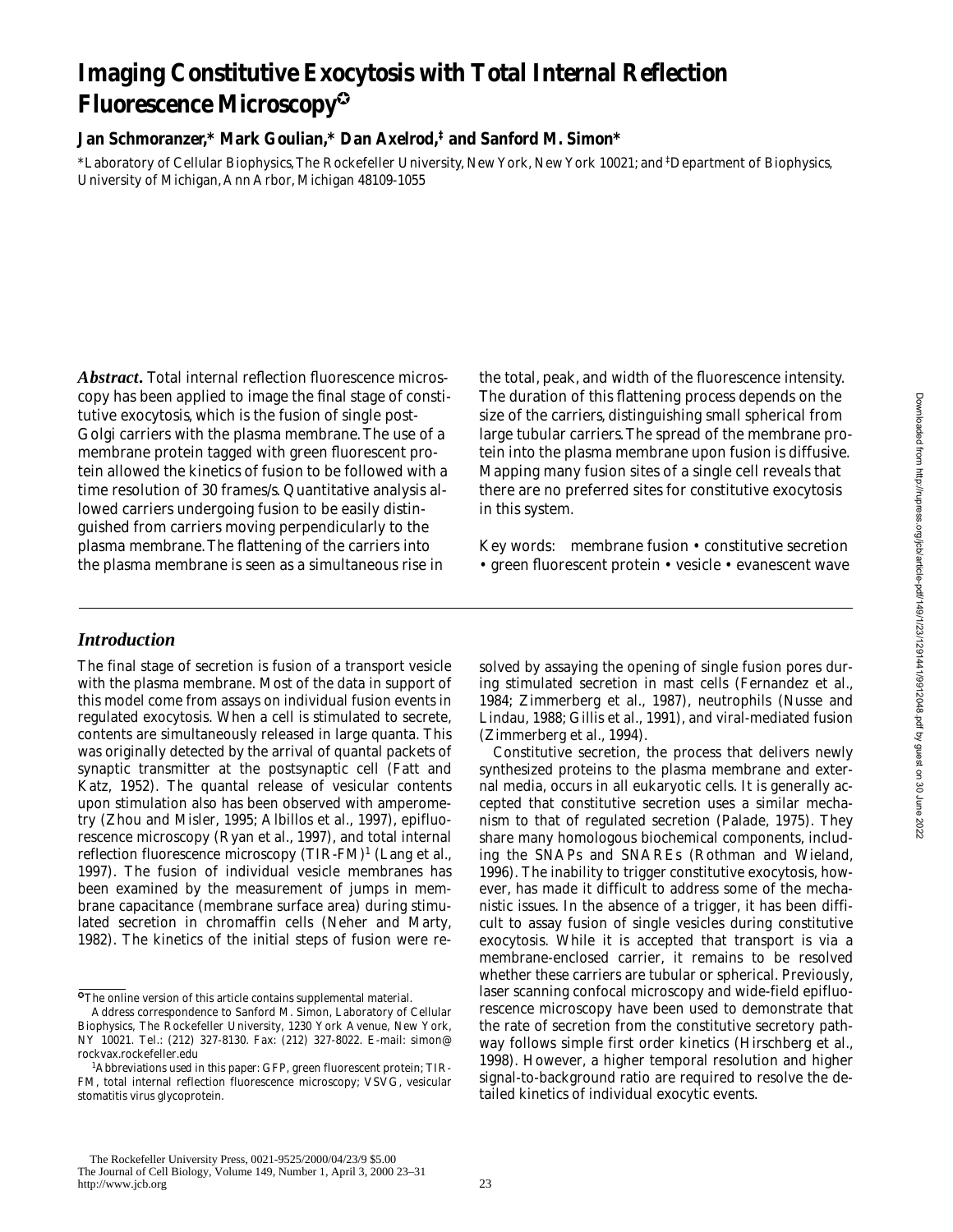# **Imaging Constitutive Exocytosis with Total Internal Reflection Fluorescence Microscopy**✪

**Jan Schmoranzer,\* Mark Goulian,\* Dan Axelrod,‡ and Sanford M. Simon\***

\*Laboratory of Cellular Biophysics, The Rockefeller University, New York, New York 10021; and ‡ Department of Biophysics, University of Michigan, Ann Arbor, Michigan 48109-1055

*Abstract.* Total internal reflection fluorescence microscopy has been applied to image the final stage of constitutive exocytosis, which is the fusion of single post-Golgi carriers with the plasma membrane. The use of a membrane protein tagged with green fluorescent protein allowed the kinetics of fusion to be followed with a time resolution of 30 frames/s. Quantitative analysis allowed carriers undergoing fusion to be easily distinguished from carriers moving perpendicularly to the plasma membrane. The flattening of the carriers into the plasma membrane is seen as a simultaneous rise in

## *Introduction*

The final stage of secretion is fusion of a transport vesicle with the plasma membrane. Most of the data in support of this model come from assays on individual fusion events in regulated exocytosis. When a cell is stimulated to secrete, contents are simultaneously released in large quanta. This was originally detected by the arrival of quantal packets of synaptic transmitter at the postsynaptic cell (Fatt and Katz, 1952). The quantal release of vesicular contents upon stimulation also has been observed with amperometry (Zhou and Misler, 1995; Albillos et al., 1997), epifluorescence microscopy (Ryan et al., 1997), and total internal reflection fluorescence microscopy (TIR-FM)<sup>1</sup> (Lang et al., 1997). The fusion of individual vesicle membranes has been examined by the measurement of jumps in membrane capacitance (membrane surface area) during stimulated secretion in chromaffin cells (Neher and Marty, 1982). The kinetics of the initial steps of fusion were rethe total, peak, and width of the fluorescence intensity. The duration of this flattening process depends on the size of the carriers, distinguishing small spherical from large tubular carriers. The spread of the membrane protein into the plasma membrane upon fusion is diffusive. Mapping many fusion sites of a single cell reveals that there are no preferred sites for constitutive exocytosis in this system.

Key words: membrane fusion • constitutive secretion • green fluorescent protein • vesicle • evanescent wave

solved by assaying the opening of single fusion pores during stimulated secretion in mast cells (Fernandez et al., 1984; Zimmerberg et al., 1987), neutrophils (Nusse and Lindau, 1988; Gillis et al., 1991), and viral-mediated fusion (Zimmerberg et al., 1994).

Constitutive secretion, the process that delivers newly synthesized proteins to the plasma membrane and external media, occurs in all eukaryotic cells. It is generally accepted that constitutive secretion uses a similar mechanism to that of regulated secretion (Palade, 1975). They share many homologous biochemical components, including the SNAPs and SNAREs (Rothman and Wieland, 1996). The inability to trigger constitutive exocytosis, however, has made it difficult to address some of the mechanistic issues. In the absence of a trigger, it has been difficult to assay fusion of single vesicles during constitutive exocytosis. While it is accepted that transport is via a membrane-enclosed carrier, it remains to be resolved whether these carriers are tubular or spherical. Previously, laser scanning confocal microscopy and wide-field epifluorescence microscopy have been used to demonstrate that the rate of secretion from the constitutive secretory pathway follows simple first order kinetics (Hirschberg et al., 1998). However, a higher temporal resolution and higher signal-to-background ratio are required to resolve the detailed kinetics of individual exocytic events.

<sup>✪</sup>The online version of this article contains supplemental material.

Address correspondence to Sanford M. Simon, Laboratory of Cellular Biophysics, The Rockefeller University, 1230 York Avenue, New York, NY 10021. Tel.: (212) 327-8130. Fax: (212) 327-8022. E-mail: simon@ rockvax.rockefeller.edu

<sup>1</sup> *Abbreviations used in this paper:* GFP, green fluorescent protein; TIR-FM, total internal reflection fluorescence microscopy; VSVG, vesicular stomatitis virus glycoprotein.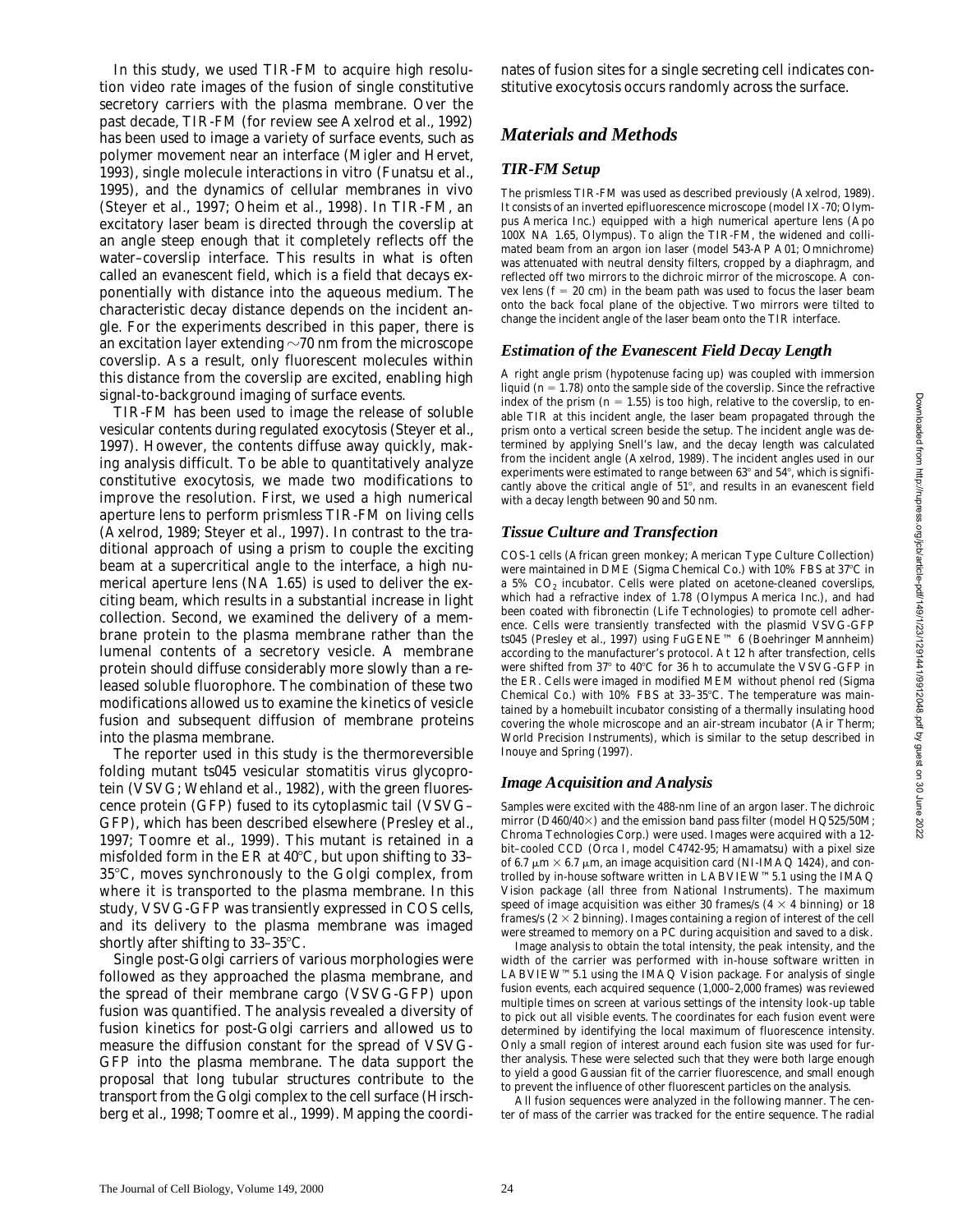In this study, we used TIR-FM to acquire high resolution video rate images of the fusion of single constitutive secretory carriers with the plasma membrane. Over the past decade, TIR-FM (for review see Axelrod et al., 1992) has been used to image a variety of surface events, such as polymer movement near an interface (Migler and Hervet, 1993), single molecule interactions in vitro (Funatsu et al., 1995), and the dynamics of cellular membranes in vivo (Steyer et al., 1997; Oheim et al., 1998). In TIR-FM, an excitatory laser beam is directed through the coverslip at an angle steep enough that it completely reflects off the water–coverslip interface. This results in what is often called an evanescent field, which is a field that decays exponentially with distance into the aqueous medium. The characteristic decay distance depends on the incident angle. For the experiments described in this paper, there is an excitation layer extending  $\sim$ 70 nm from the microscope coverslip. As a result, only fluorescent molecules within this distance from the coverslip are excited, enabling high signal-to-background imaging of surface events.

TIR-FM has been used to image the release of soluble vesicular contents during regulated exocytosis (Steyer et al., 1997). However, the contents diffuse away quickly, making analysis difficult. To be able to quantitatively analyze constitutive exocytosis, we made two modifications to improve the resolution. First, we used a high numerical aperture lens to perform prismless TIR-FM on living cells (Axelrod, 1989; Steyer et al., 1997). In contrast to the traditional approach of using a prism to couple the exciting beam at a supercritical angle to the interface, a high numerical aperture lens (NA 1.65) is used to deliver the exciting beam, which results in a substantial increase in light collection. Second, we examined the delivery of a membrane protein to the plasma membrane rather than the lumenal contents of a secretory vesicle. A membrane protein should diffuse considerably more slowly than a released soluble fluorophore. The combination of these two modifications allowed us to examine the kinetics of vesicle fusion and subsequent diffusion of membrane proteins into the plasma membrane.

The reporter used in this study is the thermoreversible folding mutant ts045 vesicular stomatitis virus glycoprotein (VSVG; Wehland et al., 1982), with the green fluorescence protein (GFP) fused to its cytoplasmic tail (VSVG– GFP), which has been described elsewhere (Presley et al., 1997; Toomre et al., 1999). This mutant is retained in a misfolded form in the ER at  $40^{\circ}$ C, but upon shifting to 33–  $35^{\circ}$ C, moves synchronously to the Golgi complex, from where it is transported to the plasma membrane. In this study, VSVG-GFP was transiently expressed in COS cells, and its delivery to the plasma membrane was imaged shortly after shifting to  $33-35^{\circ}$ C.

Single post-Golgi carriers of various morphologies were followed as they approached the plasma membrane, and the spread of their membrane cargo (VSVG-GFP) upon fusion was quantified. The analysis revealed a diversity of fusion kinetics for post-Golgi carriers and allowed us to measure the diffusion constant for the spread of VSVG-GFP into the plasma membrane. The data support the proposal that long tubular structures contribute to the transport from the Golgi complex to the cell surface (Hirschberg et al., 1998; Toomre et al., 1999). Mapping the coordi-

nates of fusion sites for a single secreting cell indicates constitutive exocytosis occurs randomly across the surface.

## *Materials and Methods*

### *TIR-FM Setup*

The prismless TIR-FM was used as described previously (Axelrod, 1989). It consists of an inverted epifluorescence microscope (model IX-70; Olympus America Inc.) equipped with a high numerical aperture lens (Apo 100X NA 1.65, Olympus). To align the TIR-FM, the widened and collimated beam from an argon ion laser (model 543-AP A01; Omnichrome) was attenuated with neutral density filters, cropped by a diaphragm, and reflected off two mirrors to the dichroic mirror of the microscope. A convex lens  $(f = 20 \text{ cm})$  in the beam path was used to focus the laser beam onto the back focal plane of the objective. Two mirrors were tilted to change the incident angle of the laser beam onto the TIR interface.

#### *Estimation of the Evanescent Field Decay Length*

A right angle prism (hypotenuse facing up) was coupled with immersion liquid ( $n = 1.78$ ) onto the sample side of the coverslip. Since the refractive index of the prism  $(n = 1.55)$  is too high, relative to the coverslip, to enable TIR at this incident angle, the laser beam propagated through the prism onto a vertical screen beside the setup. The incident angle was determined by applying Snell's law, and the decay length was calculated from the incident angle (Axelrod, 1989). The incident angles used in our experiments were estimated to range between  $63^\circ$  and  $54^\circ$ , which is significantly above the critical angle of  $51^{\circ}$ , and results in an evanescent field with a decay length between 90 and 50 nm.

#### *Tissue Culture and Transfection*

COS-1 cells (African green monkey; American Type Culture Collection) were maintained in DME (Sigma Chemical Co.) with 10% FBS at 37°C in a 5% CO<sub>2</sub> incubator. Cells were plated on acetone-cleaned coverslips, which had a refractive index of 1.78 (Olympus America Inc.), and had been coated with fibronectin (Life Technologies) to promote cell adherence. Cells were transiently transfected with the plasmid VSVG-GFP ts045 (Presley et al., 1997) using FuGENE™ 6 (Boehringer Mannheim) according to the manufacturer's protocol. At 12 h after transfection, cells were shifted from 37° to 40°C for 36 h to accumulate the VSVG-GFP in the ER. Cells were imaged in modified MEM without phenol red (Sigma Chemical Co.) with  $10\%$  FBS at  $33-35^{\circ}$ C. The temperature was maintained by a homebuilt incubator consisting of a thermally insulating hood covering the whole microscope and an air-stream incubator (Air Therm; World Precision Instruments), which is similar to the setup described in Inouye and Spring (1997).

#### *Image Acquisition and Analysis*

Samples were excited with the 488-nm line of an argon laser. The dichroic mirror (D460/40 $\times$ ) and the emission band pass filter (model HQ525/50M; Chroma Technologies Corp.) were used. Images were acquired with a 12 bit–cooled CCD (Orca I, model C4742-95; Hamamatsu) with a pixel size of 6.7  $\mu$ m  $\times$  6.7  $\mu$ m, an image acquisition card (NI-IMAQ 1424), and controlled by in-house software written in LABVIEW™5.1 using the IMAQ Vision package (all three from National Instruments). The maximum speed of image acquisition was either 30 frames/s  $(4 \times 4$  binning) or 18 frames/s  $(2 \times 2$  binning). Images containing a region of interest of the cell were streamed to memory on a PC during acquisition and saved to a disk.

Image analysis to obtain the total intensity, the peak intensity, and the width of the carrier was performed with in-house software written in LABVIEW™5.1 using the IMAQ Vision package. For analysis of single fusion events, each acquired sequence (1,000–2,000 frames) was reviewed multiple times on screen at various settings of the intensity look-up table to pick out all visible events. The coordinates for each fusion event were determined by identifying the local maximum of fluorescence intensity. Only a small region of interest around each fusion site was used for further analysis. These were selected such that they were both large enough to yield a good Gaussian fit of the carrier fluorescence, and small enough to prevent the influence of other fluorescent particles on the analysis.

All fusion sequences were analyzed in the following manner. The center of mass of the carrier was tracked for the entire sequence. The radial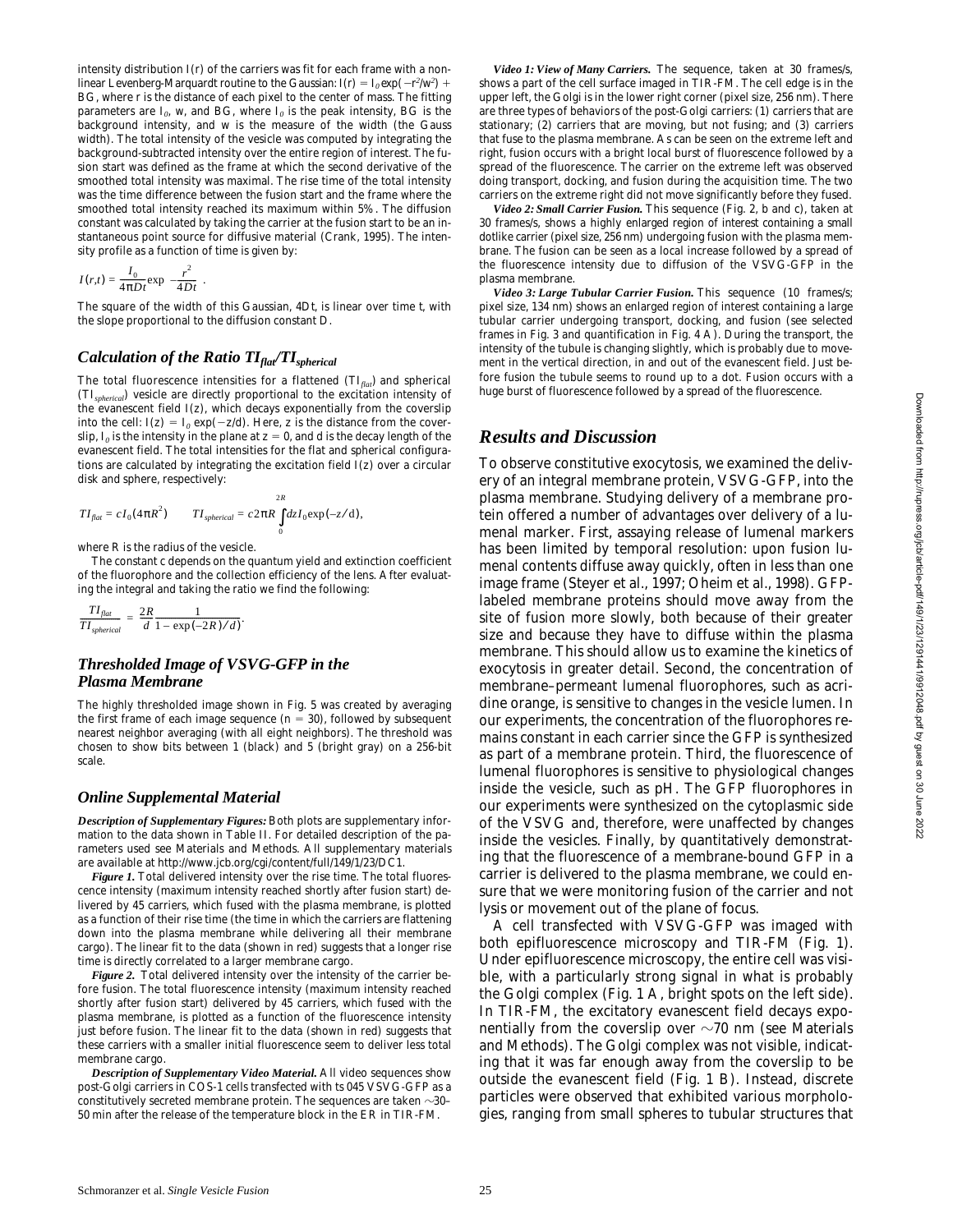intensity distribution *I(r)* of the carriers was fit for each frame with a nonlinear Levenberg-Marquardt routine to the Gaussian:  $I(r) = I_0 \exp(-r^2/w^2) +$ *BG*, where *r* is the distance of each pixel to the center of mass. The fitting parameters are  $I_0$ , *w*, and *BG*, where  $I_0$  is the peak intensity, *BG* is the background intensity, and *w* is the measure of the width (the Gauss width). The total intensity of the vesicle was computed by integrating the background-subtracted intensity over the entire region of interest. The fusion start was defined as the frame at which the second derivative of the smoothed total intensity was maximal. The rise time of the total intensity was the time difference between the fusion start and the frame where the smoothed total intensity reached its maximum within 5%. The diffusion constant was calculated by taking the carrier at the fusion start to be an instantaneous point source for diffusive material (Crank, 1995). The intensity profile as a function of time is given by:

$$
I(r,t) = \frac{I_0}{4\pi Dt} \exp\left(-\frac{r^2}{4Dt}\right).
$$

The square of the width of this Gaussian, *4Dt*, is linear over time *t*, with the slope proportional to the diffusion constant D.

## *Calculation of the Ratio TIflat/TIspherical*

The total fluorescence intensities for a flattened  $(TI_{flat})$  and spherical (*TIspherical*) vesicle are directly proportional to the excitation intensity of the evanescent field *I(z)*, which decays exponentially from the coverslip into the cell:  $I(z) = I_0 \exp(-z/d)$ . Here, *z* is the distance from the coverslip,  $I_0$  is the intensity in the plane at  $z = 0$ , and *d* is the decay length of the evanescent field. The total intensities for the flat and spherical configurations are calculated by integrating the excitation field *I(z)* over a circular disk and sphere, respectively:

$$
TI_{flat} = cI_0(4\pi R^2) \qquad TI_{spherical} = c2\pi R \int_0^{2R} dz I_0 \exp(-z/d),
$$

where *R* is the radius of the vesicle.

The constant *c* depends on the quantum yield and extinction coefficient of the fluorophore and the collection efficiency of the lens. After evaluating the integral and taking the ratio we find the following:

$$
\frac{T I_{flat}}{T I_{spherical}} = \frac{2R}{d} \frac{1}{1 - \exp(-2R)/d}.
$$

#### *Thresholded Image of VSVG-GFP in the Plasma Membrane*

The highly thresholded image shown in Fig. 5 was created by averaging the first frame of each image sequence  $(n = 30)$ , followed by subsequent nearest neighbor averaging (with all eight neighbors). The threshold was chosen to show bits between 1 (black) and 5 (bright gray) on a 256-bit scale.

#### *Online Supplemental Material*

*Description of Supplementary Figures:* Both plots are supplementary information to the data shown in Table II. For detailed description of the parameters used see Materials and Methods. All supplementary materials are available at http://www.jcb.org/cgi/content/full/149/1/23/DC1.

*Figure 1.* Total delivered intensity over the rise time. The total fluorescence intensity (maximum intensity reached shortly after fusion start) delivered by 45 carriers, which fused with the plasma membrane, is plotted as a function of their rise time (the time in which the carriers are flattening down into the plasma membrane while delivering all their membrane cargo). The linear fit to the data (shown in red) suggests that a longer rise time is directly correlated to a larger membrane cargo.

*Figure 2.* Total delivered intensity over the intensity of the carrier before fusion. The total fluorescence intensity (maximum intensity reached shortly after fusion start) delivered by 45 carriers, which fused with the plasma membrane, is plotted as a function of the fluorescence intensity just before fusion. The linear fit to the data (shown in red) suggests that these carriers with a smaller initial fluorescence seem to deliver less total membrane cargo.

*Description of Supplementary Video Material.* All video sequences show post-Golgi carriers in COS-1 cells transfected with ts 045 VSVG-GFP as a constitutively secreted membrane protein. The sequences are taken  $\sim$ 30– 50 min after the release of the temperature block in the ER in TIR-FM.

*Video 1: View of Many Carriers.* The sequence, taken at 30 frames/s, shows a part of the cell surface imaged in TIR-FM. The cell edge is in the upper left, the Golgi is in the lower right corner (pixel size, 256 nm). There are three types of behaviors of the post-Golgi carriers: (1) carriers that are stationary; (2) carriers that are moving, but not fusing; and (3) carriers that fuse to the plasma membrane. As can be seen on the extreme left and right, fusion occurs with a bright local burst of fluorescence followed by a spread of the fluorescence. The carrier on the extreme left was observed doing transport, docking, and fusion during the acquisition time. The two carriers on the extreme right did not move significantly before they fused.

*Video 2: Small Carrier Fusion.* This sequence (Fig. 2, b and c), taken at 30 frames/s, shows a highly enlarged region of interest containing a small dotlike carrier (pixel size, 256 nm) undergoing fusion with the plasma membrane. The fusion can be seen as a local increase followed by a spread of the fluorescence intensity due to diffusion of the VSVG-GFP in the plasma membrane.

*Video 3: Large Tubular Carrier Fusion.* This sequence (10 frames/s; pixel size, 134 nm) shows an enlarged region of interest containing a large tubular carrier undergoing transport, docking, and fusion (see selected frames in Fig. 3 and quantification in Fig. 4 A). During the transport, the intensity of the tubule is changing slightly, which is probably due to movement in the vertical direction, in and out of the evanescent field. Just before fusion the tubule seems to round up to a dot. Fusion occurs with a huge burst of fluorescence followed by a spread of the fluorescence.

## *Results and Discussion*

To observe constitutive exocytosis, we examined the delivery of an integral membrane protein, VSVG-GFP, into the plasma membrane. Studying delivery of a membrane protein offered a number of advantages over delivery of a lumenal marker. First, assaying release of lumenal markers has been limited by temporal resolution: upon fusion lumenal contents diffuse away quickly, often in less than one image frame (Steyer et al., 1997; Oheim et al., 1998). GFPlabeled membrane proteins should move away from the site of fusion more slowly, both because of their greater size and because they have to diffuse within the plasma membrane. This should allow us to examine the kinetics of exocytosis in greater detail. Second, the concentration of membrane–permeant lumenal fluorophores, such as acridine orange, is sensitive to changes in the vesicle lumen. In our experiments, the concentration of the fluorophores remains constant in each carrier since the GFP is synthesized as part of a membrane protein. Third, the fluorescence of lumenal fluorophores is sensitive to physiological changes inside the vesicle, such as pH. The GFP fluorophores in our experiments were synthesized on the cytoplasmic side of the VSVG and, therefore, were unaffected by changes inside the vesicles. Finally, by quantitatively demonstrating that the fluorescence of a membrane-bound GFP in a carrier is delivered to the plasma membrane, we could ensure that we were monitoring fusion of the carrier and not lysis or movement out of the plane of focus.

A cell transfected with VSVG-GFP was imaged with both epifluorescence microscopy and TIR-FM (Fig. 1). Under epifluorescence microscopy, the entire cell was visible, with a particularly strong signal in what is probably the Golgi complex (Fig. 1 A, bright spots on the left side). In TIR-FM, the excitatory evanescent field decays exponentially from the coverslip over  $\sim$ 70 nm (see Materials and Methods). The Golgi complex was not visible, indicating that it was far enough away from the coverslip to be outside the evanescent field (Fig. 1 B). Instead, discrete particles were observed that exhibited various morphologies, ranging from small spheres to tubular structures that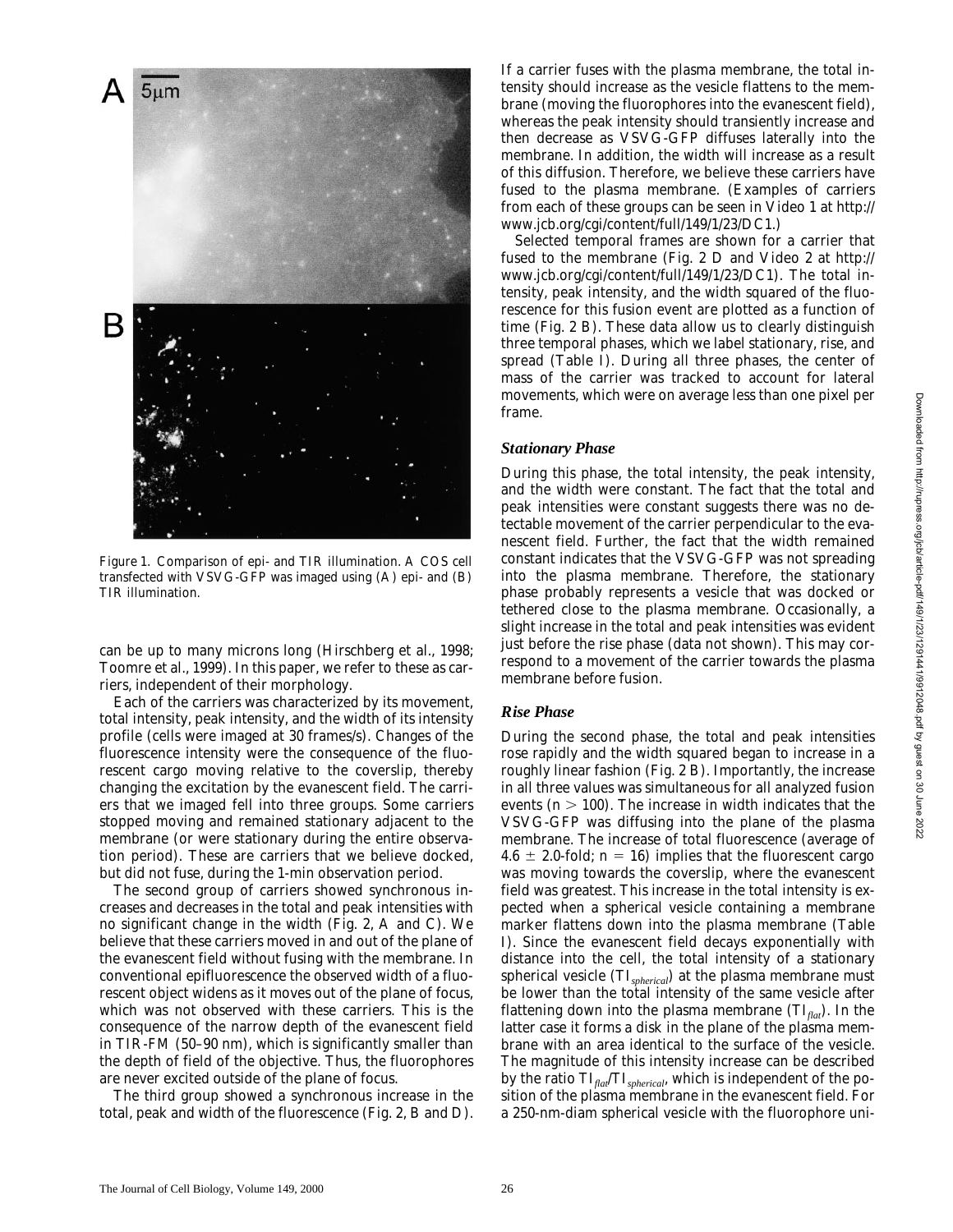

*Figure 1*. Comparison of epi- and TIR illumination. A COS cell transfected with VSVG-GFP was imaged using (A) epi- and (B) TIR illumination.

can be up to many microns long (Hirschberg et al., 1998; Toomre et al., 1999). In this paper, we refer to these as carriers, independent of their morphology.

Each of the carriers was characterized by its movement, total intensity, peak intensity, and the width of its intensity profile (cells were imaged at 30 frames/s). Changes of the fluorescence intensity were the consequence of the fluorescent cargo moving relative to the coverslip, thereby changing the excitation by the evanescent field. The carriers that we imaged fell into three groups. Some carriers stopped moving and remained stationary adjacent to the membrane (or were stationary during the entire observation period). These are carriers that we believe docked, but did not fuse, during the 1-min observation period.

The second group of carriers showed synchronous increases and decreases in the total and peak intensities with no significant change in the width (Fig. 2, A and C). We believe that these carriers moved in and out of the plane of the evanescent field without fusing with the membrane. In conventional epifluorescence the observed width of a fluorescent object widens as it moves out of the plane of focus, which was not observed with these carriers. This is the consequence of the narrow depth of the evanescent field in TIR-FM (50–90 nm), which is significantly smaller than the depth of field of the objective. Thus, the fluorophores are never excited outside of the plane of focus.

The third group showed a synchronous increase in the total, peak and width of the fluorescence (Fig. 2, B and D). If a carrier fuses with the plasma membrane, the total intensity should increase as the vesicle flattens to the membrane (moving the fluorophores into the evanescent field), whereas the peak intensity should transiently increase and then decrease as VSVG-GFP diffuses laterally into the membrane. In addition, the width will increase as a result of this diffusion. Therefore, we believe these carriers have fused to the plasma membrane. (Examples of carriers from each of these groups can be seen in Video 1 at http:// www.jcb.org/cgi/content/full/149/1/23/DC1.)

Selected temporal frames are shown for a carrier that fused to the membrane (Fig. 2 D and Video 2 at http:// www.jcb.org/cgi/content/full/149/1/23/DC1). The total intensity, peak intensity, and the width squared of the fluorescence for this fusion event are plotted as a function of time (Fig. 2 B). These data allow us to clearly distinguish three temporal phases, which we label stationary, rise, and spread (Table I). During all three phases, the center of mass of the carrier was tracked to account for lateral movements, which were on average less than one pixel per frame.

#### *Stationary Phase*

During this phase, the total intensity, the peak intensity, and the width were constant. The fact that the total and peak intensities were constant suggests there was no detectable movement of the carrier perpendicular to the evanescent field. Further, the fact that the width remained constant indicates that the VSVG-GFP was not spreading into the plasma membrane. Therefore, the stationary phase probably represents a vesicle that was docked or tethered close to the plasma membrane. Occasionally, a slight increase in the total and peak intensities was evident just before the rise phase (data not shown). This may correspond to a movement of the carrier towards the plasma membrane before fusion.

#### *Rise Phase*

During the second phase, the total and peak intensities rose rapidly and the width squared began to increase in a roughly linear fashion (Fig. 2 B). Importantly, the increase in all three values was simultaneous for all analyzed fusion events  $(n > 100)$ . The increase in width indicates that the VSVG-GFP was diffusing into the plane of the plasma membrane. The increase of total fluorescence (average of  $4.6 \pm 2.0$ -fold;  $n = 16$ ) implies that the fluorescent cargo was moving towards the coverslip, where the evanescent field was greatest. This increase in the total intensity is expected when a spherical vesicle containing a membrane marker flattens down into the plasma membrane (Table I). Since the evanescent field decays exponentially with distance into the cell, the total intensity of a stationary spherical vesicle (*TIspherical*) at the plasma membrane must be lower than the total intensity of the same vesicle after flattening down into the plasma membrane (*TIflat*). In the latter case it forms a disk in the plane of the plasma membrane with an area identical to the surface of the vesicle. The magnitude of this intensity increase can be described by the ratio *TIflat*/*TIspherical*, which is independent of the position of the plasma membrane in the evanescent field. For a 250-nm-diam spherical vesicle with the fluorophore uni-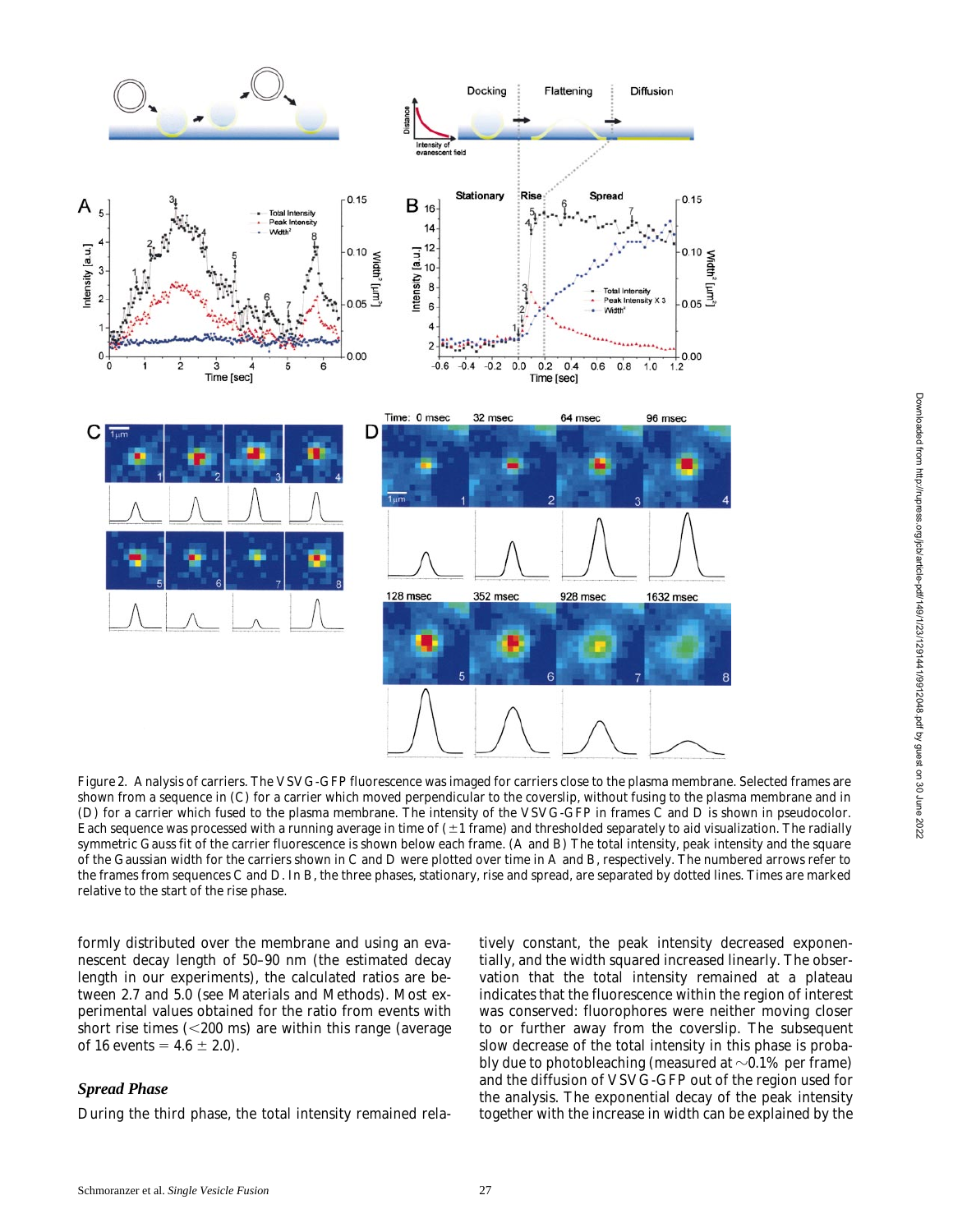

*Figure 2*. Analysis of carriers. The VSVG-GFP fluorescence was imaged for carriers close to the plasma membrane. Selected frames are shown from a sequence in (C) for a carrier which moved perpendicular to the coverslip, without fusing to the plasma membrane and in (D) for a carrier which fused to the plasma membrane. The intensity of the VSVG-GFP in frames C and D is shown in pseudocolor. Each sequence was processed with a running average in time of  $(\pm 1$  frame) and thresholded separately to aid visualization. The radially symmetric Gauss fit of the carrier fluorescence is shown below each frame. (A and B) The total intensity, peak intensity and the square of the Gaussian width for the carriers shown in C and D were plotted over time in A and B, respectively. The numbered arrows refer to the frames from sequences C and D. In B, the three phases, stationary, rise and spread, are separated by dotted lines. Times are marked relative to the start of the rise phase.

formly distributed over the membrane and using an evanescent decay length of 50–90 nm (the estimated decay length in our experiments), the calculated ratios are between 2.7 and 5.0 (see Materials and Methods). Most experimental values obtained for the ratio from events with short rise times  $\left($  < 200 ms) are within this range (average of 16 events =  $4.6 \pm 2.0$ .

## *Spread Phase*

During the third phase, the total intensity remained rela-

tively constant, the peak intensity decreased exponentially, and the width squared increased linearly. The observation that the total intensity remained at a plateau indicates that the fluorescence within the region of interest was conserved: fluorophores were neither moving closer to or further away from the coverslip. The subsequent slow decrease of the total intensity in this phase is probably due to photobleaching (measured at  $\sim 0.1\%$  per frame) and the diffusion of VSVG-GFP out of the region used for the analysis. The exponential decay of the peak intensity together with the increase in width can be explained by the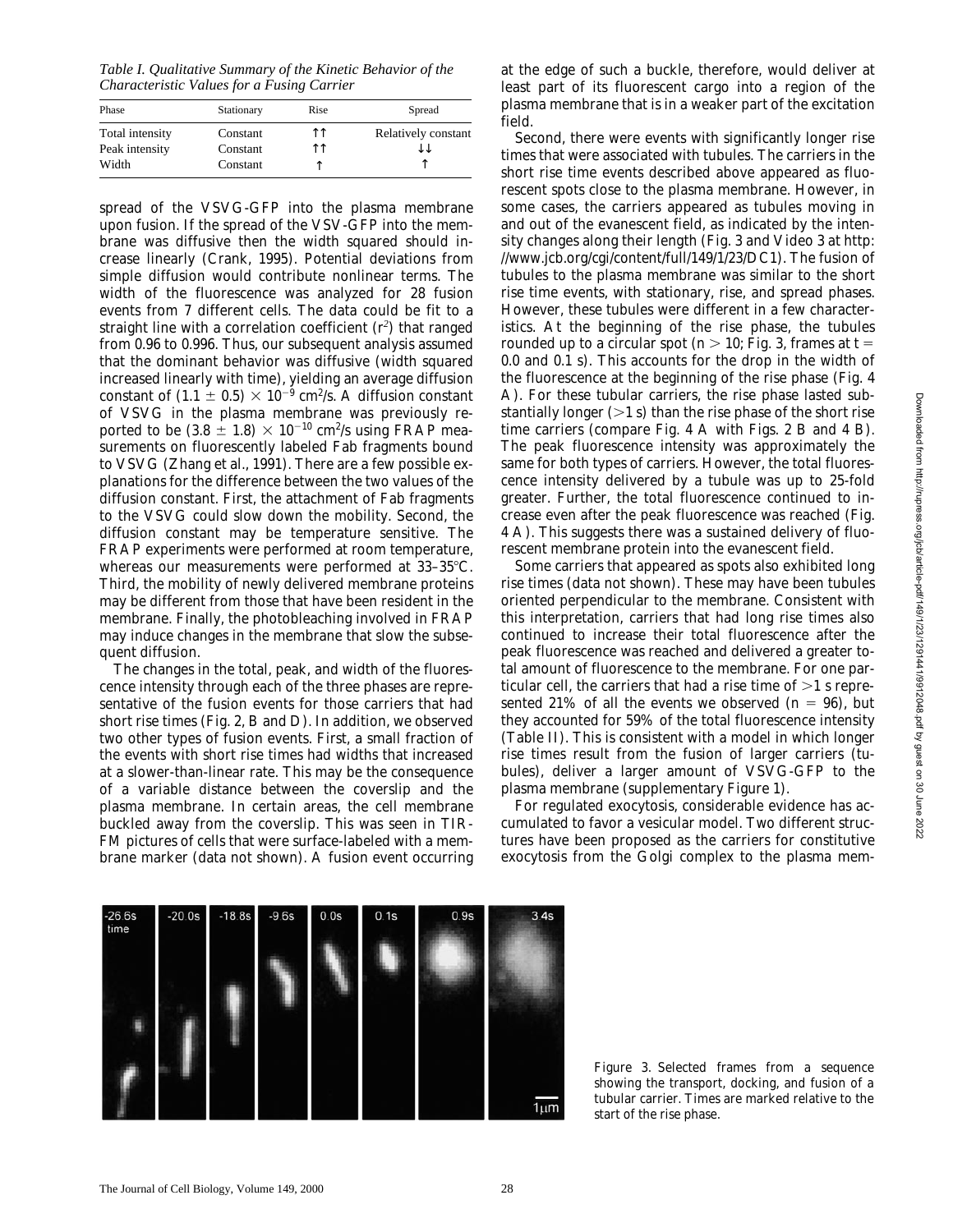*Table I. Qualitative Summary of the Kinetic Behavior of the Characteristic Values for a Fusing Carrier*

| Phase                                      | Stationary                       | Rise            | Spread                   |
|--------------------------------------------|----------------------------------|-----------------|--------------------------|
| Total intensity<br>Peak intensity<br>Width | Constant<br>Constant<br>Constant | ተተ<br><b>11</b> | Relatively constant<br>◡ |

spread of the VSVG-GFP into the plasma membrane upon fusion. If the spread of the VSV-GFP into the membrane was diffusive then the width squared should increase linearly (Crank, 1995). Potential deviations from simple diffusion would contribute nonlinear terms. The width of the fluorescence was analyzed for 28 fusion events from 7 different cells. The data could be fit to a straight line with a correlation coefficient (*r<sup>2</sup>* ) that ranged from 0.96 to 0.996. Thus, our subsequent analysis assumed that the dominant behavior was diffusive (width squared increased linearly with time), yielding an average diffusion constant of  $(1.1 \pm 0.5) \times 10^{-9}$  cm<sup>2</sup>/s. A diffusion constant of VSVG in the plasma membrane was previously reported to be (3.8  $\pm$  1.8)  $\times$  10<sup>-10</sup> cm<sup>2</sup>/s using FRAP measurements on fluorescently labeled Fab fragments bound to VSVG (Zhang et al., 1991). There are a few possible explanations for the difference between the two values of the diffusion constant. First, the attachment of Fab fragments to the VSVG could slow down the mobility. Second, the diffusion constant may be temperature sensitive. The FRAP experiments were performed at room temperature, whereas our measurements were performed at  $33-35^{\circ}$ C. Third, the mobility of newly delivered membrane proteins may be different from those that have been resident in the membrane. Finally, the photobleaching involved in FRAP may induce changes in the membrane that slow the subsequent diffusion.

The changes in the total, peak, and width of the fluorescence intensity through each of the three phases are representative of the fusion events for those carriers that had short rise times (Fig. 2, B and D). In addition, we observed two other types of fusion events. First, a small fraction of the events with short rise times had widths that increased at a slower-than-linear rate. This may be the consequence of a variable distance between the coverslip and the plasma membrane. In certain areas, the cell membrane buckled away from the coverslip. This was seen in TIR-FM pictures of cells that were surface-labeled with a membrane marker (data not shown). A fusion event occurring

at the edge of such a buckle, therefore, would deliver at least part of its fluorescent cargo into a region of the plasma membrane that is in a weaker part of the excitation field.

Second, there were events with significantly longer rise times that were associated with tubules. The carriers in the short rise time events described above appeared as fluorescent spots close to the plasma membrane. However, in some cases, the carriers appeared as tubules moving in and out of the evanescent field, as indicated by the intensity changes along their length (Fig. 3 and Video 3 at http: //www.jcb.org/cgi/content/full/149/1/23/DC1). The fusion of tubules to the plasma membrane was similar to the short rise time events, with stationary, rise, and spread phases. However, these tubules were different in a few characteristics. At the beginning of the rise phase, the tubules rounded up to a circular spot ( $n > 10$ ; Fig. 3, frames at  $t =$ 0.0 and 0.1 s). This accounts for the drop in the width of the fluorescence at the beginning of the rise phase (Fig. 4 A). For these tubular carriers, the rise phase lasted substantially longer  $(>1 s)$  than the rise phase of the short rise time carriers (compare Fig. 4 A with Figs. 2 B and 4 B). The peak fluorescence intensity was approximately the same for both types of carriers. However, the total fluorescence intensity delivered by a tubule was up to 25-fold greater. Further, the total fluorescence continued to increase even after the peak fluorescence was reached (Fig. 4 A). This suggests there was a sustained delivery of fluorescent membrane protein into the evanescent field.

Some carriers that appeared as spots also exhibited long rise times (data not shown). These may have been tubules oriented perpendicular to the membrane. Consistent with this interpretation, carriers that had long rise times also continued to increase their total fluorescence after the peak fluorescence was reached and delivered a greater total amount of fluorescence to the membrane. For one particular cell, the carriers that had a rise time of  $>1$  s represented 21% of all the events we observed  $(n = 96)$ , but they accounted for 59% of the total fluorescence intensity (Table II). This is consistent with a model in which longer rise times result from the fusion of larger carriers (tubules), deliver a larger amount of VSVG-GFP to the plasma membrane (supplementary Figure 1).

For regulated exocytosis, considerable evidence has accumulated to favor a vesicular model. Two different structures have been proposed as the carriers for constitutive exocytosis from the Golgi complex to the plasma mem-



*Figure 3*. Selected frames from a sequence showing the transport, docking, and fusion of a tubular carrier. Times are marked relative to the start of the rise phase.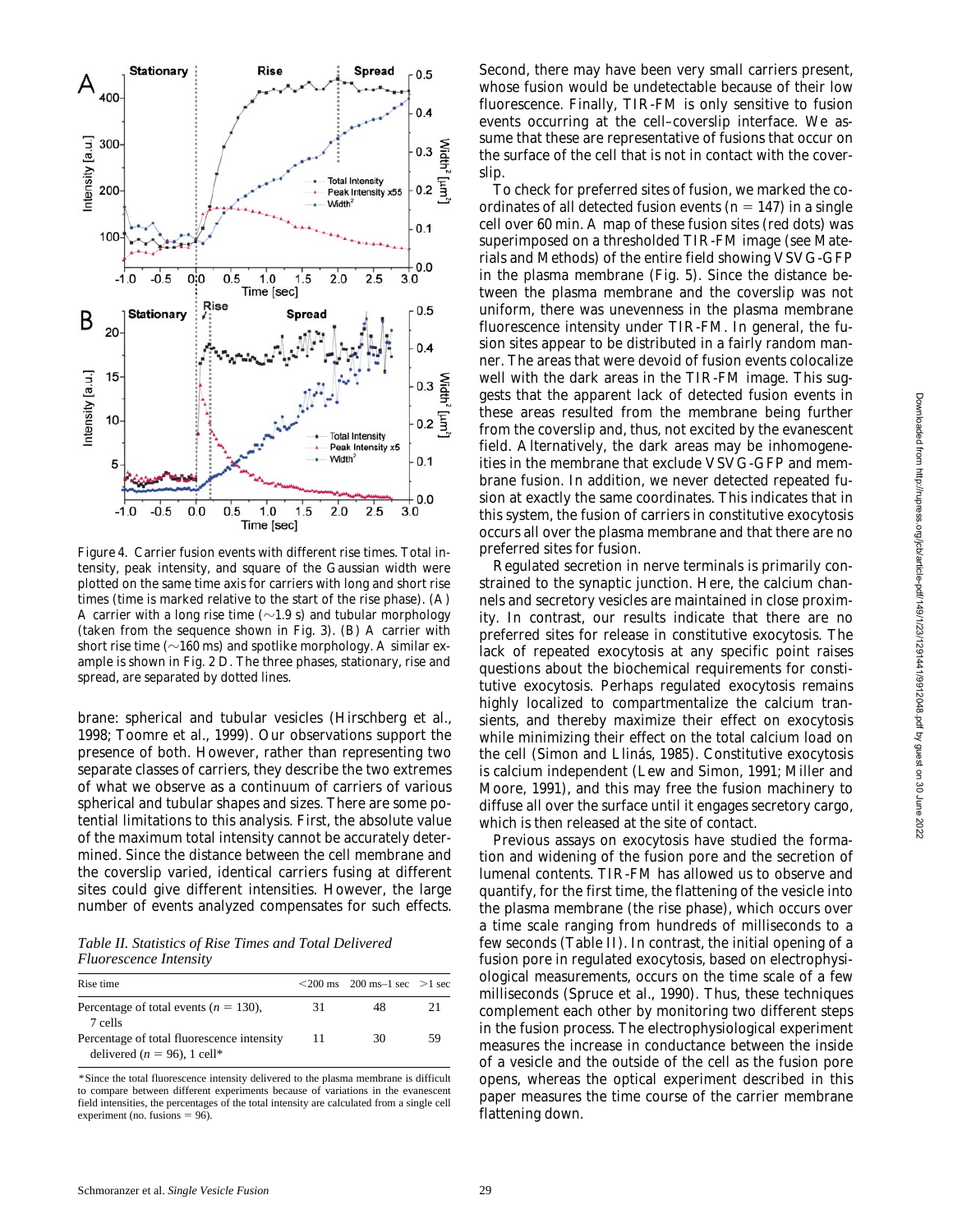

*Figure 4*. Carrier fusion events with different rise times. Total intensity, peak intensity, and square of the Gaussian width were plotted on the same time axis for carriers with long and short rise times (time is marked relative to the start of the rise phase). (A) A carrier with a long rise time  $(\sim1.9 \text{ s})$  and tubular morphology (taken from the sequence shown in Fig. 3). (B) A carrier with short rise time ( $\sim$ 160 ms) and spotlike morphology. A similar example is shown in Fig. 2 D. The three phases, stationary, rise and spread, are separated by dotted lines.

brane: spherical and tubular vesicles (Hirschberg et al., 1998; Toomre et al., 1999). Our observations support the presence of both. However, rather than representing two separate classes of carriers, they describe the two extremes of what we observe as a continuum of carriers of various spherical and tubular shapes and sizes. There are some potential limitations to this analysis. First, the absolute value of the maximum total intensity cannot be accurately determined. Since the distance between the cell membrane and the coverslip varied, identical carriers fusing at different sites could give different intensities. However, the large number of events analyzed compensates for such effects.

*Table II. Statistics of Rise Times and Total Delivered Fluorescence Intensity*

| Rise time                                                                     |    | $<200$ ms 200 ms-1 sec $>1$ sec |    |
|-------------------------------------------------------------------------------|----|---------------------------------|----|
| Percentage of total events ( $n = 130$ ),<br>7 cells                          | 31 | 48                              | 21 |
| Percentage of total fluorescence intensity<br>delivered ( $n = 96$ ), 1 cell* | 11 | 30                              | 59 |

\*Since the total fluorescence intensity delivered to the plasma membrane is difficult to compare between different experiments because of variations in the evanescent field intensities, the percentages of the total intensity are calculated from a single cell experiment (no. fusions  $= 96$ ).

Second, there may have been very small carriers present, whose fusion would be undetectable because of their low fluorescence. Finally, TIR-FM is only sensitive to fusion events occurring at the cell–coverslip interface. We assume that these are representative of fusions that occur on the surface of the cell that is not in contact with the coverslip.

To check for preferred sites of fusion, we marked the coordinates of all detected fusion events  $(n = 147)$  in a single cell over 60 min. A map of these fusion sites (red dots) was superimposed on a thresholded TIR-FM image (see Materials and Methods) of the entire field showing VSVG-GFP in the plasma membrane (Fig. 5). Since the distance between the plasma membrane and the coverslip was not uniform, there was unevenness in the plasma membrane fluorescence intensity under TIR-FM. In general, the fusion sites appear to be distributed in a fairly random manner. The areas that were devoid of fusion events colocalize well with the dark areas in the TIR-FM image. This suggests that the apparent lack of detected fusion events in these areas resulted from the membrane being further from the coverslip and, thus, not excited by the evanescent field. Alternatively, the dark areas may be inhomogeneities in the membrane that exclude VSVG-GFP and membrane fusion. In addition, we never detected repeated fusion at exactly the same coordinates. This indicates that in this system, the fusion of carriers in constitutive exocytosis occurs all over the plasma membrane and that there are no preferred sites for fusion.

Regulated secretion in nerve terminals is primarily constrained to the synaptic junction. Here, the calcium channels and secretory vesicles are maintained in close proximity. In contrast, our results indicate that there are no preferred sites for release in constitutive exocytosis. The lack of repeated exocytosis at any specific point raises questions about the biochemical requirements for constitutive exocytosis. Perhaps regulated exocytosis remains highly localized to compartmentalize the calcium transients, and thereby maximize their effect on exocytosis while minimizing their effect on the total calcium load on the cell (Simon and Llinás, 1985). Constitutive exocytosis is calcium independent (Lew and Simon, 1991; Miller and Moore, 1991), and this may free the fusion machinery to diffuse all over the surface until it engages secretory cargo, which is then released at the site of contact.

Previous assays on exocytosis have studied the formation and widening of the fusion pore and the secretion of lumenal contents. TIR-FM has allowed us to observe and quantify, for the first time, the flattening of the vesicle into the plasma membrane (the rise phase), which occurs over a time scale ranging from hundreds of milliseconds to a few seconds (Table II). In contrast, the initial opening of a fusion pore in regulated exocytosis, based on electrophysiological measurements, occurs on the time scale of a few milliseconds (Spruce et al., 1990). Thus, these techniques complement each other by monitoring two different steps in the fusion process. The electrophysiological experiment measures the increase in conductance between the inside of a vesicle and the outside of the cell as the fusion pore opens, whereas the optical experiment described in this paper measures the time course of the carrier membrane flattening down.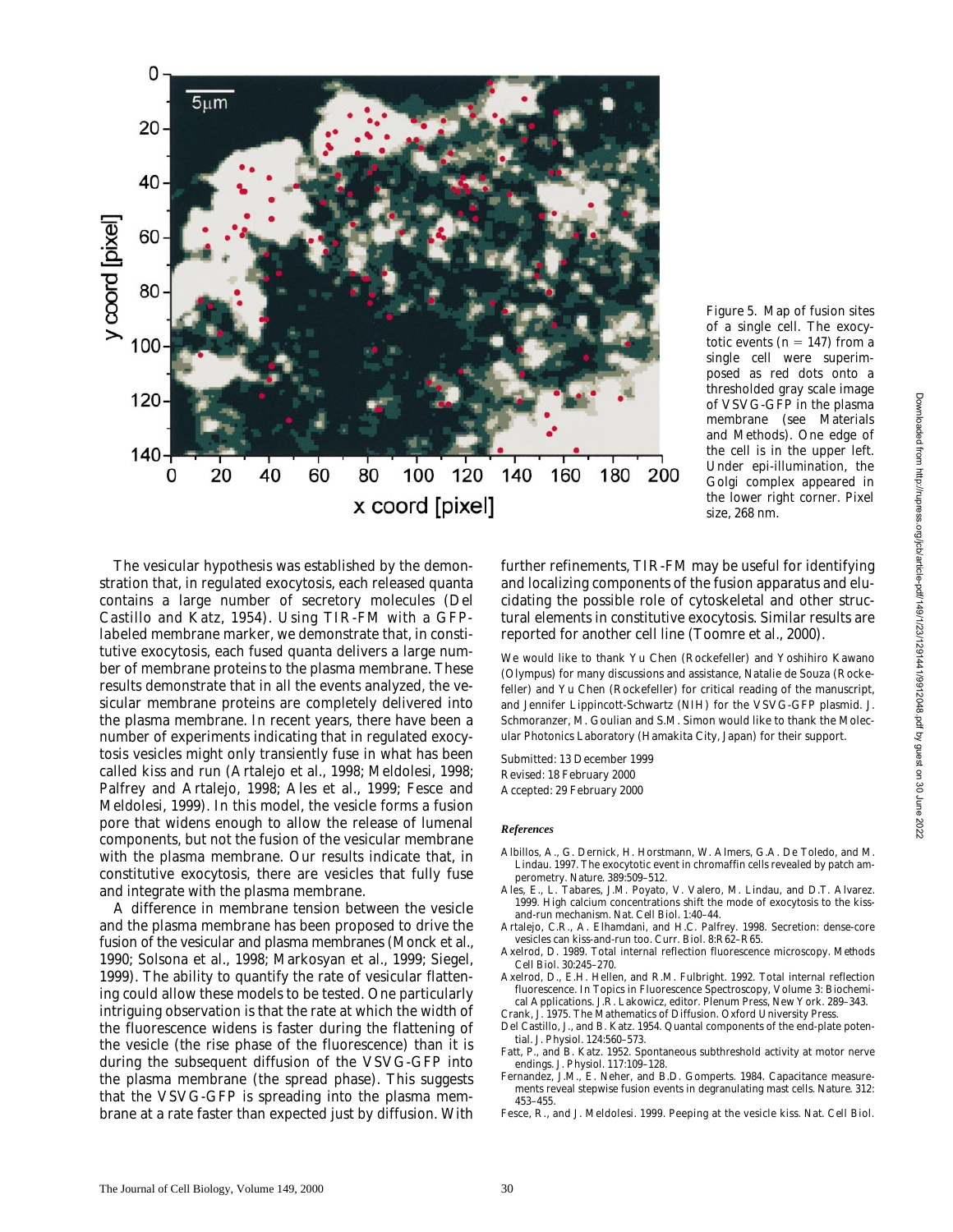

*Figure 5*. Map of fusion sites of a single cell. The exocytotic events  $(n = 147)$  from a single cell were superimposed as red dots onto a thresholded gray scale image of VSVG-GFP in the plasma membrane (see Materials and Methods). One edge of the cell is in the upper left. Under epi-illumination, the Golgi complex appeared in the lower right corner. Pixel size, 268 nm.

The vesicular hypothesis was established by the demonstration that, in regulated exocytosis, each released quanta contains a large number of secretory molecules (Del Castillo and Katz, 1954). Using TIR-FM with a GFPlabeled membrane marker, we demonstrate that, in constitutive exocytosis, each fused quanta delivers a large number of membrane proteins to the plasma membrane. These results demonstrate that in all the events analyzed, the vesicular membrane proteins are completely delivered into the plasma membrane. In recent years, there have been a number of experiments indicating that in regulated exocytosis vesicles might only transiently fuse in what has been called kiss and run (Artalejo et al., 1998; Meldolesi, 1998; Palfrey and Artalejo, 1998; Ales et al., 1999; Fesce and Meldolesi, 1999). In this model, the vesicle forms a fusion pore that widens enough to allow the release of lumenal components, but not the fusion of the vesicular membrane with the plasma membrane. Our results indicate that, in constitutive exocytosis, there are vesicles that fully fuse and integrate with the plasma membrane.

A difference in membrane tension between the vesicle and the plasma membrane has been proposed to drive the fusion of the vesicular and plasma membranes (Monck et al., 1990; Solsona et al., 1998; Markosyan et al., 1999; Siegel, 1999). The ability to quantify the rate of vesicular flattening could allow these models to be tested. One particularly intriguing observation is that the rate at which the width of the fluorescence widens is faster during the flattening of the vesicle (the rise phase of the fluorescence) than it is during the subsequent diffusion of the VSVG-GFP into the plasma membrane (the spread phase). This suggests that the VSVG-GFP is spreading into the plasma membrane at a rate faster than expected just by diffusion. With further refinements, TIR-FM may be useful for identifying and localizing components of the fusion apparatus and elucidating the possible role of cytoskeletal and other structural elements in constitutive exocytosis. Similar results are reported for another cell line (Toomre et al., 2000).

We would like to thank Yu Chen (Rockefeller) and Yoshihiro Kawano (Olympus) for many discussions and assistance, Natalie de Souza (Rockefeller) and Yu Chen (Rockefeller) for critical reading of the manuscript, and Jennifer Lippincott-Schwartz (NIH) for the VSVG-GFP plasmid. J. Schmoranzer, M. Goulian and S.M. Simon would like to thank the Molecular Photonics Laboratory (Hamakita City, Japan) for their support.

Submitted: 13 December 1999 Revised: 18 February 2000 Accepted: 29 February 2000

#### *References*

- Albillos, A., G. Dernick, H. Horstmann, W. Almers, G.A. De Toledo, and M. Lindau. 1997. The exocytotic event in chromaffin cells revealed by patch amperometry. *Nature.* 389:509–512.
- Ales, E., L. Tabares, J.M. Poyato, V. Valero, M. Lindau, and D.T. Alvarez. 1999. High calcium concentrations shift the mode of exocytosis to the kissand-run mechanism. *Nat. Cell Biol.* 1:40–44.
- Artalejo, C.R., A. Elhamdani, and H.C. Palfrey. 1998. Secretion: dense-core vesicles can kiss-and-run too. *Curr. Biol.* 8:R62–R65.
- Axelrod, D. 1989. Total internal reflection fluorescence microscopy. *Methods Cell Biol.* 30:245–270.

Axelrod, D., E.H. Hellen, and R.M. Fulbright. 1992. Total internal reflection fluorescence. *In* Topics in Fluorescence Spectroscopy, Volume 3: Biochemical Applications. J.R. Lakowicz, editor. Plenum Press, New York. 289–343.

Crank, J. 1975. The Mathematics of Diffusion. Oxford University Press.

Del Castillo, J., and B. Katz. 1954. Quantal components of the end-plate potential. *J. Physiol.* 124:560–573.

Fatt, P., and B. Katz. 1952. Spontaneous subthreshold activity at motor nerve endings. *J. Physiol*. 117:109–128.

Fernandez, J.M., E. Neher, and B.D. Gomperts. 1984. Capacitance measurements reveal stepwise fusion events in degranulating mast cells. *Nature.* 312: 453–455.

Fesce, R., and J. Meldolesi. 1999. Peeping at the vesicle kiss. *Nat. Cell Biol.*